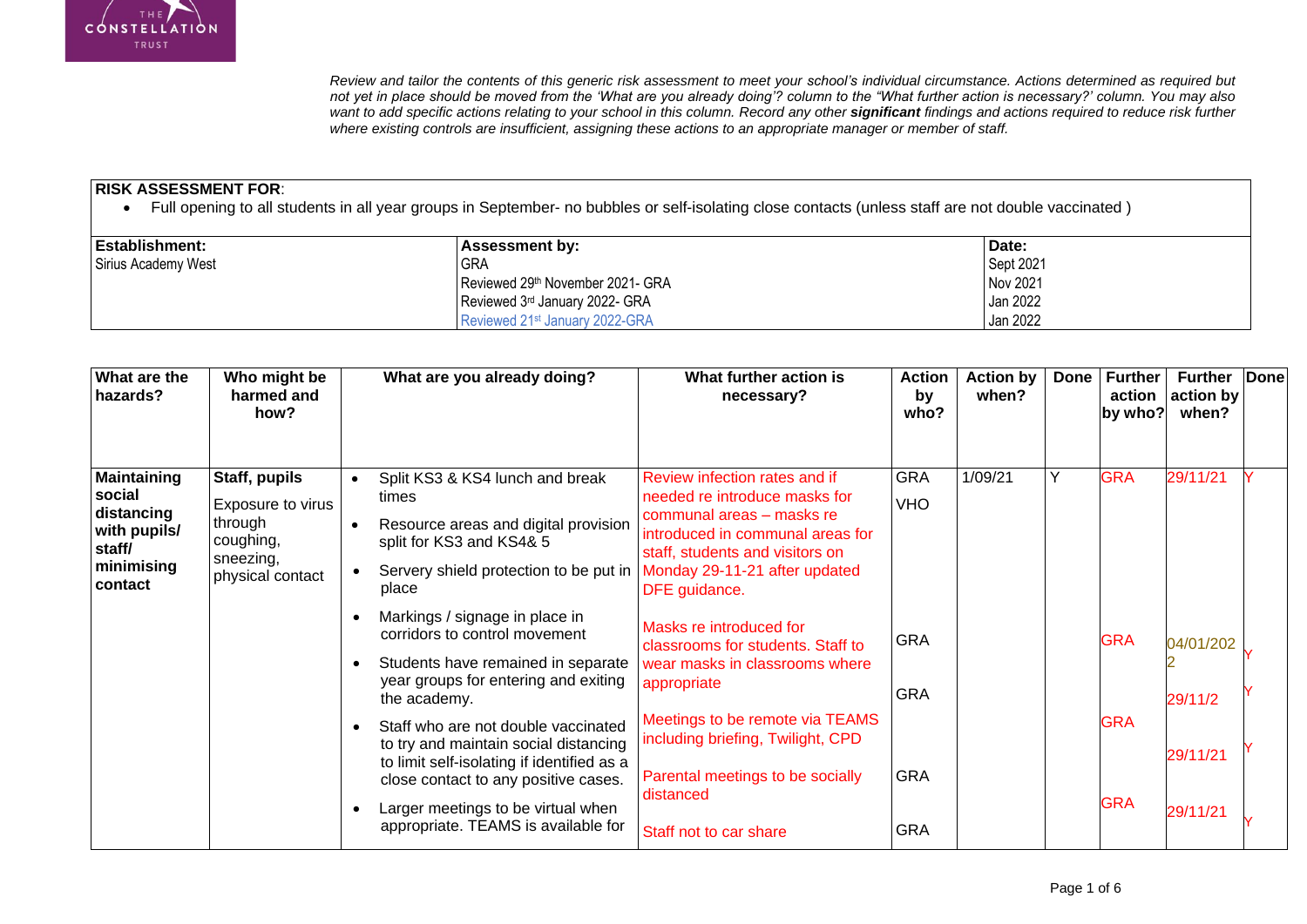

*Review and tailor the contents of this generic risk assessment to meet your school's individual circumstance. Actions determined as required but not yet in place should be moved from the 'What are you already doing'? column to the "What further action is necessary?' column. You may also want to add specific actions relating to your school in this column. Record any other significant findings and actions required to reduce risk further where existing controls are insufficient, assigning these actions to an appropriate manager or member of staff.* 

## **RISK ASSESSMENT FOR**:

Full opening to all students in all year groups in September- no bubbles or self-isolating close contacts (unless staff are not double vaccinated )

| <b>Establishment:</b> | <b>Assessment by:</b>                      | Date:     |
|-----------------------|--------------------------------------------|-----------|
| Sirius Academy West   | <b>GRA</b>                                 | Sept 2021 |
|                       | Reviewed 29th November 2021- GRA           | Nov 2021  |
|                       | Reviewed 3rd January 2022- GRA             | Jan 2022  |
|                       | Reviewed 21 <sup>st</sup> January 2022-GRA | Jan 2022  |

| What are the<br>hazards?                                                                      | Who might be<br>harmed and<br>how?                                                          |                        | What are you already doing?                                                                                                                                                                                                                     | What further action is<br>necessary?                                                                                                                                                                                 | <b>Action</b><br>by<br>who? | <b>Action by</b><br>when? | <b>Done</b> | <b>Further</b><br>action<br>by who? | <b>Further</b><br>action by<br>when? | Done |
|-----------------------------------------------------------------------------------------------|---------------------------------------------------------------------------------------------|------------------------|-------------------------------------------------------------------------------------------------------------------------------------------------------------------------------------------------------------------------------------------------|----------------------------------------------------------------------------------------------------------------------------------------------------------------------------------------------------------------------|-----------------------------|---------------------------|-------------|-------------------------------------|--------------------------------------|------|
| <b>Maintaining</b><br>social<br>distancing<br>with pupils/<br>staff/<br>minimising<br>contact | Staff, pupils<br>Exposure to virus<br>through<br>coughing,<br>sneezing,<br>physical contact | $\bullet$<br>$\bullet$ | Split KS3 & KS4 lunch and break<br>times<br>Resource areas and digital provision<br>split for KS3 and KS4& 5<br>Servery shield protection to be put in  <br>place                                                                               | Review infection rates and if<br>needed re introduce masks for<br>communal areas - masks re<br>introduced in communal areas for<br>staff, students and visitors on<br>Monday 29-11-21 after updated<br>DFE guidance. | <b>GRA</b><br><b>VHO</b>    | 1/09/21                   | Y           | <b>GRA</b>                          | 29/11/21                             |      |
|                                                                                               |                                                                                             |                        | Markings / signage in place in<br>corridors to control movement<br>Students have remained in separate<br>year groups for entering and exiting<br>the academy.                                                                                   | Masks re introduced for<br>classrooms for students. Staff to<br>wear masks in classrooms where<br>appropriate                                                                                                        | <b>GRA</b><br><b>GRA</b>    |                           |             | <b>GRA</b>                          | 04/01/202<br>29/11/2                 |      |
|                                                                                               |                                                                                             | $\bullet$              | Staff who are not double vaccinated<br>to try and maintain social distancing<br>to limit self-isolating if identified as a<br>close contact to any positive cases.<br>Larger meetings to be virtual when<br>appropriate. TEAMS is available for | Meetings to be remote via TEAMS<br>including briefing, Twilight, CPD<br>Parental meetings to be socially<br>distanced<br>Staff not to car share                                                                      | <b>GRA</b><br><b>GRA</b>    |                           |             | <b>GRA</b><br><b>GRA</b>            | 29/11/21<br>29/11/21                 |      |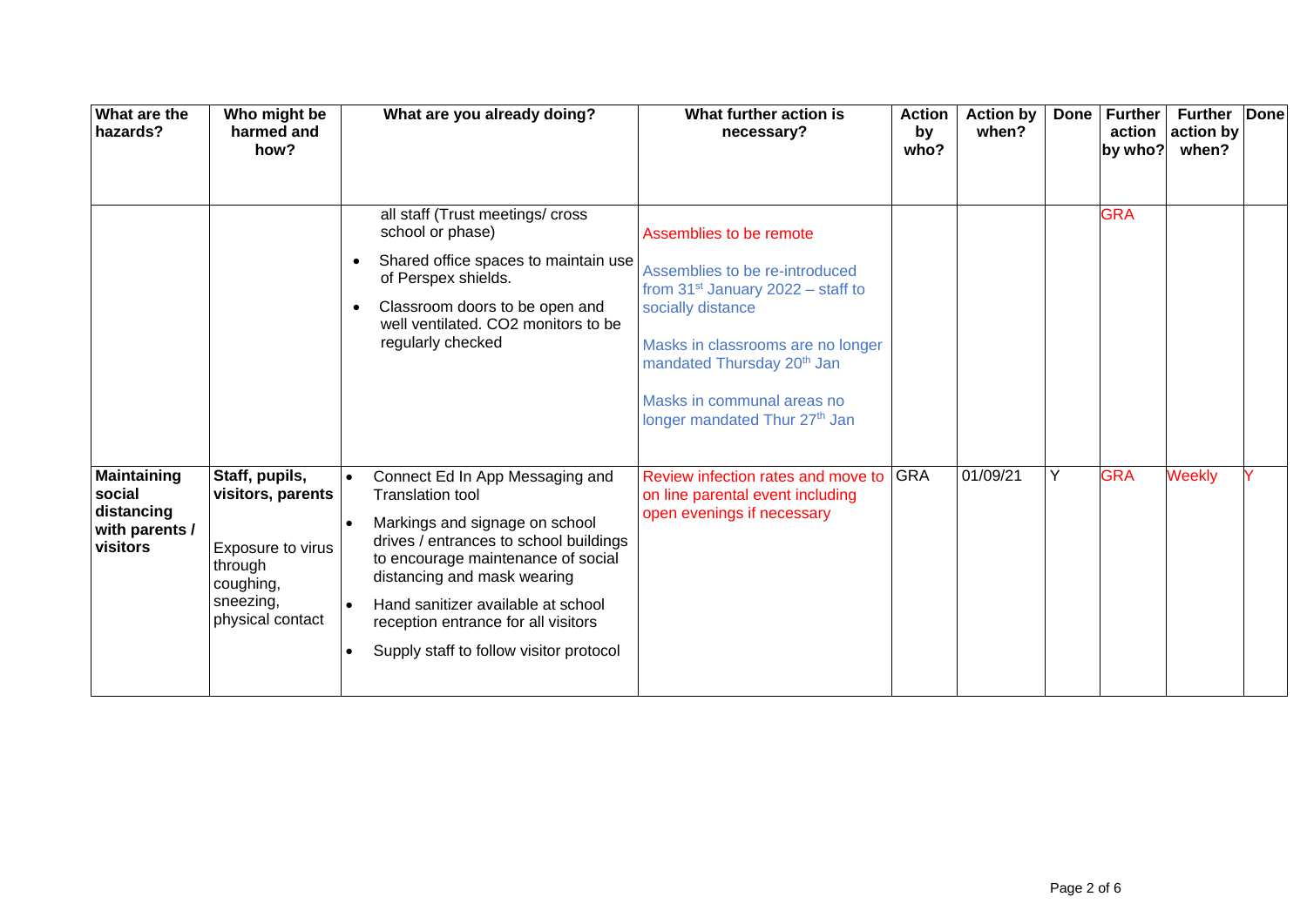| What are the<br>hazards?                                                 | Who might be<br>harmed and<br>how?                                                                                | What are you already doing?                                                                                                                                                                                                                                                                                                                                                | What further action is<br>necessary?                                                                                                                                                                                                                                               | <b>Action</b><br>by<br>who? | <b>Action by</b><br>when? | <b>Done</b> | <b>Further</b><br>by who? | <b>Further</b><br>action $ $ action by<br>when? | <b>Done</b> |
|--------------------------------------------------------------------------|-------------------------------------------------------------------------------------------------------------------|----------------------------------------------------------------------------------------------------------------------------------------------------------------------------------------------------------------------------------------------------------------------------------------------------------------------------------------------------------------------------|------------------------------------------------------------------------------------------------------------------------------------------------------------------------------------------------------------------------------------------------------------------------------------|-----------------------------|---------------------------|-------------|---------------------------|-------------------------------------------------|-------------|
|                                                                          |                                                                                                                   | all staff (Trust meetings/ cross<br>school or phase)<br>Shared office spaces to maintain use<br>$\bullet$<br>of Perspex shields.<br>Classroom doors to be open and<br>$\bullet$<br>well ventilated. CO2 monitors to be<br>regularly checked                                                                                                                                | Assemblies to be remote<br>Assemblies to be re-introduced<br>from $31^{st}$ January 2022 – staff to<br>socially distance<br>Masks in classrooms are no longer<br>mandated Thursday 20 <sup>th</sup> Jan<br>Masks in communal areas no<br>longer mandated Thur 27 <sup>th</sup> Jan |                             |                           |             | <b>GRA</b>                |                                                 |             |
| <b>Maintaining</b><br>social<br>distancing<br>with parents /<br>visitors | Staff, pupils,<br>visitors, parents<br>Exposure to virus<br>through<br>coughing,<br>sneezing,<br>physical contact | Connect Ed In App Messaging and<br>$\bullet$<br><b>Translation tool</b><br>Markings and signage on school<br>drives / entrances to school buildings<br>to encourage maintenance of social<br>distancing and mask wearing<br>Hand sanitizer available at school<br>$\bullet$<br>reception entrance for all visitors<br>Supply staff to follow visitor protocol<br>$\bullet$ | Review infection rates and move to<br>on line parental event including<br>open evenings if necessary                                                                                                                                                                               | <b>GRA</b>                  | 01/09/21                  | Y           | <b>GRA</b>                | <b>Weekly</b>                                   |             |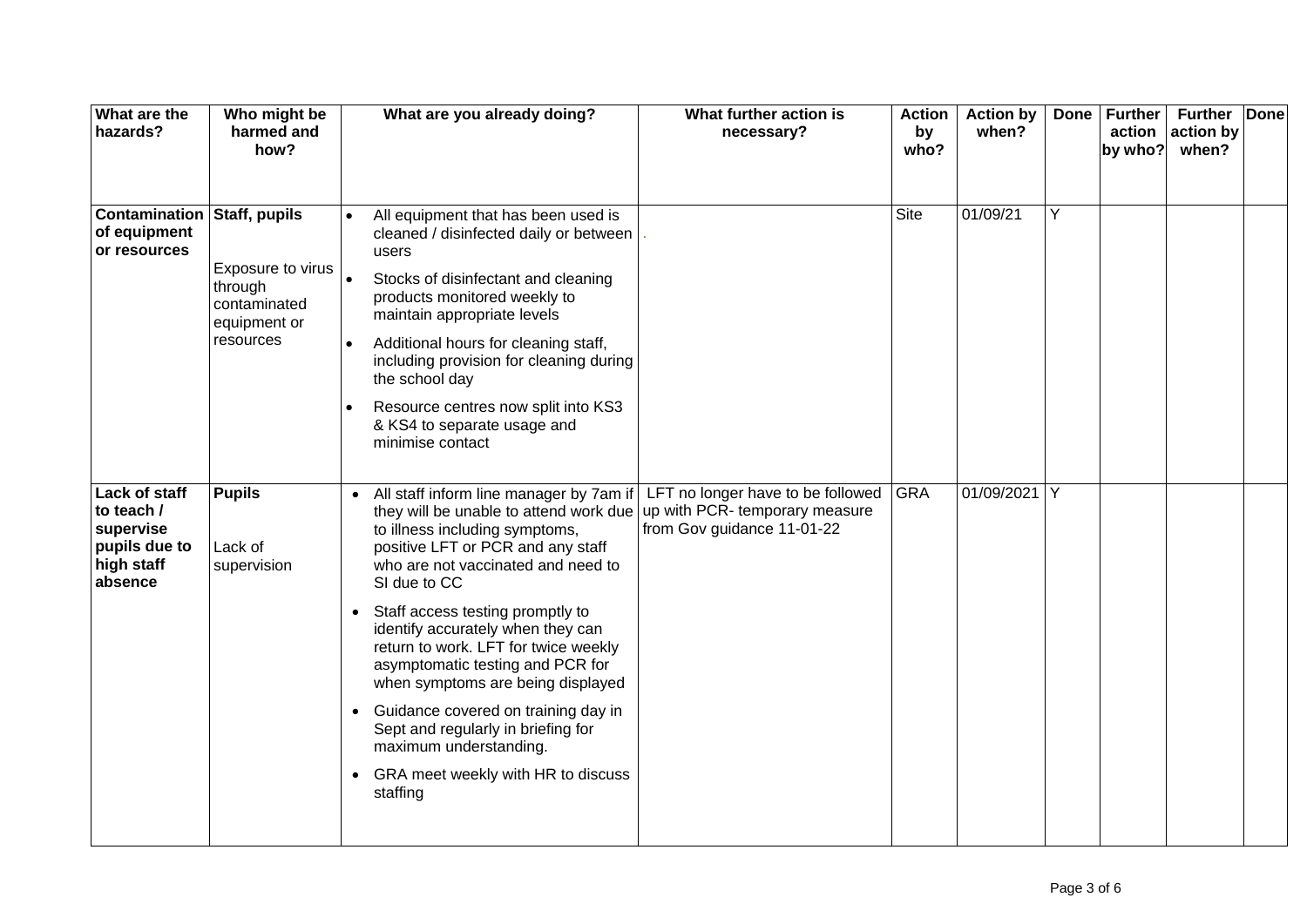| What are the<br>hazards?                                                           | Who might be<br>harmed and<br>how?                                        |           | What are you already doing?                                                                                                                                                                                      | What further action is<br>necessary?                                                                  | <b>Action</b><br>by<br>who? | <b>Action by</b><br>when? | <b>Done</b> | <b>Further</b><br>by who? | <b>Further</b><br>action action by<br>when? | Done |
|------------------------------------------------------------------------------------|---------------------------------------------------------------------------|-----------|------------------------------------------------------------------------------------------------------------------------------------------------------------------------------------------------------------------|-------------------------------------------------------------------------------------------------------|-----------------------------|---------------------------|-------------|---------------------------|---------------------------------------------|------|
| <b>Contamination Staff, pupils</b><br>of equipment<br>or resources                 |                                                                           |           | All equipment that has been used is<br>cleaned / disinfected daily or between<br>users                                                                                                                           |                                                                                                       | <b>Site</b>                 | 01/09/21                  | Y           |                           |                                             |      |
|                                                                                    | Exposure to virus<br>through<br>contaminated<br>equipment or<br>resources | $\bullet$ | Stocks of disinfectant and cleaning<br>products monitored weekly to<br>maintain appropriate levels                                                                                                               |                                                                                                       |                             |                           |             |                           |                                             |      |
|                                                                                    |                                                                           | $\bullet$ | Additional hours for cleaning staff,<br>including provision for cleaning during<br>the school day                                                                                                                |                                                                                                       |                             |                           |             |                           |                                             |      |
|                                                                                    |                                                                           | $\bullet$ | Resource centres now split into KS3<br>& KS4 to separate usage and<br>minimise contact                                                                                                                           |                                                                                                       |                             |                           |             |                           |                                             |      |
| Lack of staff<br>to teach /<br>supervise<br>pupils due to<br>high staff<br>absence | <b>Pupils</b><br>Lack of<br>supervision                                   |           | • All staff inform line manager by 7am if<br>they will be unable to attend work due<br>to illness including symptoms,<br>positive LFT or PCR and any staff<br>who are not vaccinated and need to<br>SI due to CC | LFT no longer have to be followed GRA<br>up with PCR- temporary measure<br>from Gov guidance 11-01-22 |                             | 01/09/2021 Y              |             |                           |                                             |      |
|                                                                                    |                                                                           | $\bullet$ | Staff access testing promptly to<br>identify accurately when they can<br>return to work. LFT for twice weekly<br>asymptomatic testing and PCR for<br>when symptoms are being displayed                           |                                                                                                       |                             |                           |             |                           |                                             |      |
|                                                                                    |                                                                           | $\bullet$ | Guidance covered on training day in<br>Sept and regularly in briefing for<br>maximum understanding.                                                                                                              |                                                                                                       |                             |                           |             |                           |                                             |      |
|                                                                                    |                                                                           | $\bullet$ | GRA meet weekly with HR to discuss<br>staffing                                                                                                                                                                   |                                                                                                       |                             |                           |             |                           |                                             |      |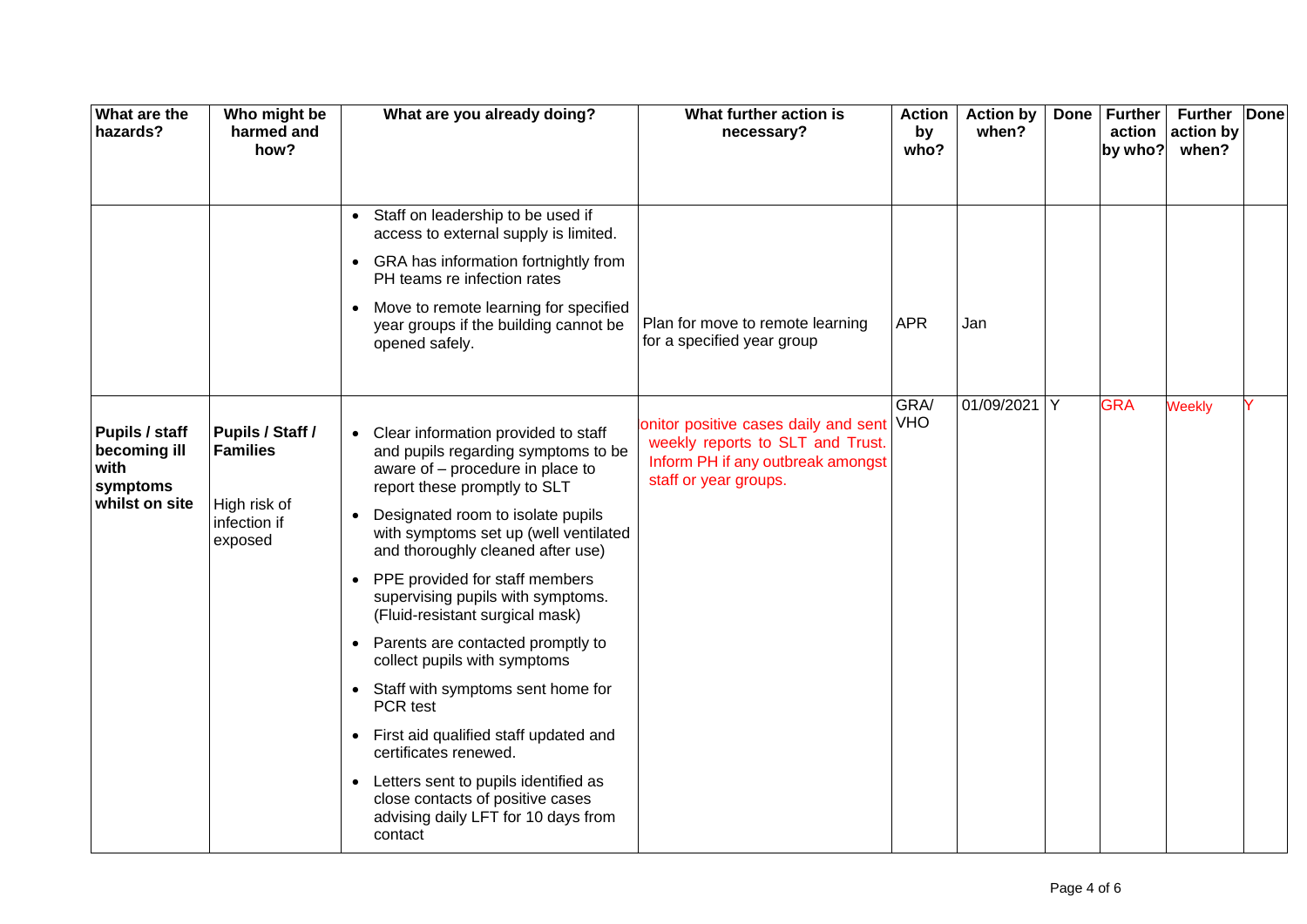| What are the<br>hazards?                           | Who might be<br>harmed and<br>how?                                             |           | What are you already doing?                                                                                                                      | What further action is<br>necessary?                                                                                                       | <b>Action</b><br>by<br>who? | <b>Action by</b><br>when? | <b>Done</b> | <b>Further</b><br>by who? | <b>Further</b><br>action $ $ action by<br>when? | <b>Done</b> |
|----------------------------------------------------|--------------------------------------------------------------------------------|-----------|--------------------------------------------------------------------------------------------------------------------------------------------------|--------------------------------------------------------------------------------------------------------------------------------------------|-----------------------------|---------------------------|-------------|---------------------------|-------------------------------------------------|-------------|
|                                                    |                                                                                |           | • Staff on leadership to be used if<br>access to external supply is limited.                                                                     |                                                                                                                                            |                             |                           |             |                           |                                                 |             |
|                                                    |                                                                                | $\bullet$ | GRA has information fortnightly from<br>PH teams re infection rates                                                                              |                                                                                                                                            |                             |                           |             |                           |                                                 |             |
|                                                    |                                                                                |           | • Move to remote learning for specified<br>year groups if the building cannot be<br>opened safely.                                               | Plan for move to remote learning<br>for a specified year group                                                                             | <b>APR</b>                  | Jan                       |             |                           |                                                 |             |
|                                                    |                                                                                |           |                                                                                                                                                  |                                                                                                                                            | GRA/                        | 01/09/2021 Y              |             | <b>GRA</b>                | <b>Weekly</b>                                   |             |
| Pupils / staff<br>becoming ill<br>with<br>symptoms | Pupils / Staff /<br><b>Families</b><br>High risk of<br>infection if<br>exposed |           | • Clear information provided to staff<br>and pupils regarding symptoms to be<br>aware of - procedure in place to<br>report these promptly to SLT | onitor positive cases daily and sent VHO<br>weekly reports to SLT and Trust.<br>Inform PH if any outbreak amongst<br>staff or year groups. |                             |                           |             |                           |                                                 |             |
| whilst on site                                     |                                                                                | $\bullet$ | Designated room to isolate pupils<br>with symptoms set up (well ventilated<br>and thoroughly cleaned after use)                                  |                                                                                                                                            |                             |                           |             |                           |                                                 |             |
|                                                    |                                                                                | $\bullet$ | PPE provided for staff members<br>supervising pupils with symptoms.<br>(Fluid-resistant surgical mask)                                           |                                                                                                                                            |                             |                           |             |                           |                                                 |             |
|                                                    |                                                                                | $\bullet$ | Parents are contacted promptly to<br>collect pupils with symptoms                                                                                |                                                                                                                                            |                             |                           |             |                           |                                                 |             |
|                                                    |                                                                                |           | • Staff with symptoms sent home for<br>PCR test                                                                                                  |                                                                                                                                            |                             |                           |             |                           |                                                 |             |
|                                                    |                                                                                | $\bullet$ | First aid qualified staff updated and<br>certificates renewed.                                                                                   |                                                                                                                                            |                             |                           |             |                           |                                                 |             |
|                                                    |                                                                                | $\bullet$ | Letters sent to pupils identified as<br>close contacts of positive cases<br>advising daily LFT for 10 days from<br>contact                       |                                                                                                                                            |                             |                           |             |                           |                                                 |             |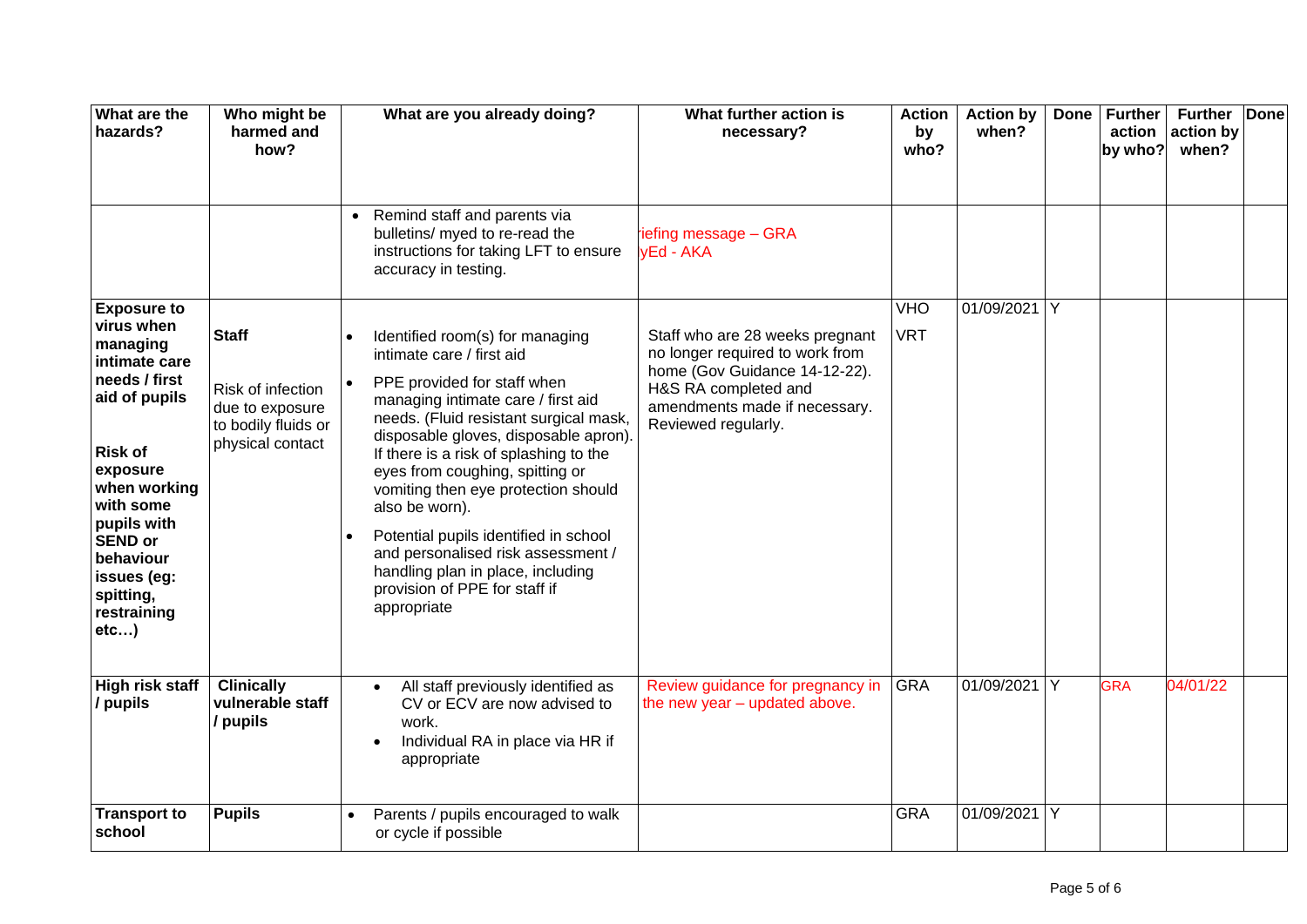| What are the<br>hazards?                                                                                                                                                                                                                                    | Who might be<br>harmed and<br>how?                                                              |           | What are you already doing?                                                                                                                                                                                                                                                                                                                                                                                                                                                                                                    | What further action is<br>necessary?                                                                                                                                                | <b>Action</b><br>by<br>who? | <b>Action by</b><br>when? | <b>Done</b> | <b>Further</b><br>action<br>by who? | <b>Further</b><br>action by<br>when? | <b>Done</b> |
|-------------------------------------------------------------------------------------------------------------------------------------------------------------------------------------------------------------------------------------------------------------|-------------------------------------------------------------------------------------------------|-----------|--------------------------------------------------------------------------------------------------------------------------------------------------------------------------------------------------------------------------------------------------------------------------------------------------------------------------------------------------------------------------------------------------------------------------------------------------------------------------------------------------------------------------------|-------------------------------------------------------------------------------------------------------------------------------------------------------------------------------------|-----------------------------|---------------------------|-------------|-------------------------------------|--------------------------------------|-------------|
|                                                                                                                                                                                                                                                             |                                                                                                 | $\bullet$ | Remind staff and parents via<br>bulletins/ myed to re-read the<br>instructions for taking LFT to ensure<br>accuracy in testing.                                                                                                                                                                                                                                                                                                                                                                                                | iefing message - GRA<br>vEd - AKA                                                                                                                                                   |                             |                           |             |                                     |                                      |             |
| <b>Exposure to</b><br>virus when<br>managing<br>intimate care<br>needs / first<br>aid of pupils<br><b>Risk of</b><br>exposure<br>when working<br>with some<br>pupils with<br><b>SEND or</b><br>behaviour<br>issues (eg:<br>spitting,<br>restraining<br>etc) | <b>Staff</b><br>Risk of infection<br>due to exposure<br>to bodily fluids or<br>physical contact | $\bullet$ | Identified room(s) for managing<br>intimate care / first aid<br>PPE provided for staff when<br>managing intimate care / first aid<br>needs. (Fluid resistant surgical mask,<br>disposable gloves, disposable apron).<br>If there is a risk of splashing to the<br>eyes from coughing, spitting or<br>vomiting then eye protection should<br>also be worn).<br>Potential pupils identified in school<br>and personalised risk assessment /<br>handling plan in place, including<br>provision of PPE for staff if<br>appropriate | Staff who are 28 weeks pregnant<br>no longer required to work from<br>home (Gov Guidance 14-12-22).<br>H&S RA completed and<br>amendments made if necessary.<br>Reviewed regularly. | VHO<br><b>VRT</b>           | 01/09/2021 Y              |             |                                     |                                      |             |
| <b>High risk staff</b><br>/ pupils                                                                                                                                                                                                                          | <b>Clinically</b><br>vulnerable staff<br>/ pupils                                               |           | All staff previously identified as<br>CV or ECV are now advised to<br>work.<br>Individual RA in place via HR if<br>appropriate                                                                                                                                                                                                                                                                                                                                                                                                 | Review guidance for pregnancy in<br>the new year - updated above.                                                                                                                   | <b>GRA</b>                  | 01/09/2021                | Y           | <b>GRA</b>                          | 04/01/22                             |             |
| <b>Transport to</b><br>school                                                                                                                                                                                                                               | <b>Pupils</b>                                                                                   |           | Parents / pupils encouraged to walk<br>or cycle if possible                                                                                                                                                                                                                                                                                                                                                                                                                                                                    |                                                                                                                                                                                     | <b>GRA</b>                  | 01/09/2021 Y              |             |                                     |                                      |             |